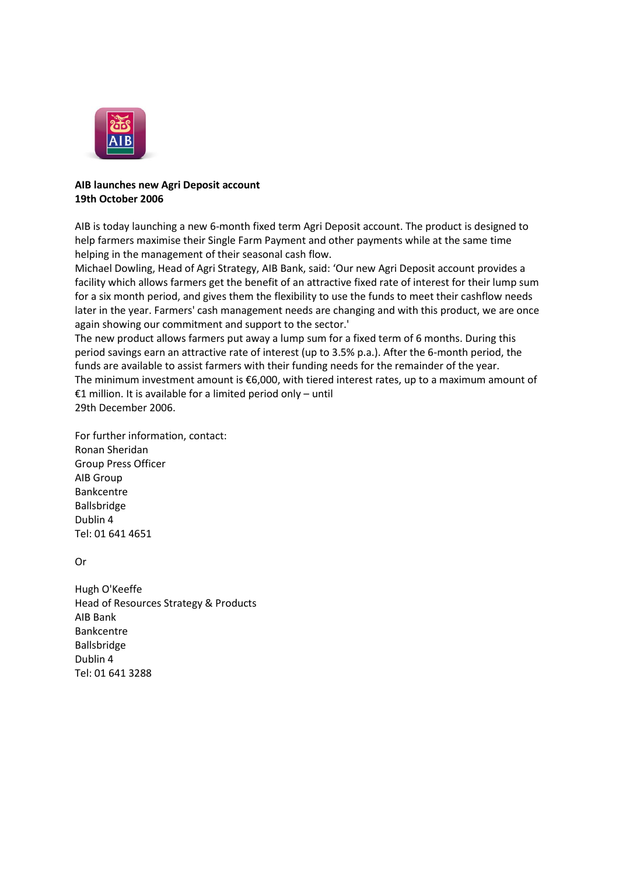

## **AIB launches new Agri Deposit account 19th October 2006**

AIB is today launching a new 6-month fixed term Agri Deposit account. The product is designed to help farmers maximise their Single Farm Payment and other payments while at the same time helping in the management of their seasonal cash flow.

Michael Dowling, Head of Agri Strategy, AIB Bank, said: 'Our new Agri Deposit account provides a facility which allows farmers get the benefit of an attractive fixed rate of interest for their lump sum for a six month period, and gives them the flexibility to use the funds to meet their cashflow needs later in the year. Farmers' cash management needs are changing and with this product, we are once again showing our commitment and support to the sector.'

The new product allows farmers put away a lump sum for a fixed term of 6 months. During this period savings earn an attractive rate of interest (up to 3.5% p.a.). After the 6-month period, the funds are available to assist farmers with their funding needs for the remainder of the year. The minimum investment amount is €6,000, with tiered interest rates, up to a maximum amount of €1 million. It is available for a limited period only – until 29th December 2006.

For further information, contact: Ronan Sheridan Group Press Officer AIB Group Bankcentre Ballsbridge Dublin 4 Tel: 01 641 4651

Or

Hugh O'Keeffe Head of Resources Strategy & Products AIB Bank Bankcentre Ballsbridge Dublin 4 Tel: 01 641 3288